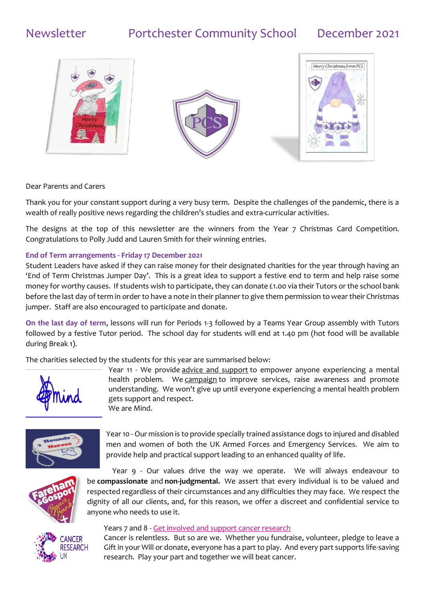# Newsletter Portchester Community School December 2021







Dear Parents and Carers

Thank you for your constant support during a very busy term. Despite the challenges of the pandemic, there is a wealth of really positive news regarding the children's studies and extra-curricular activities.

The designs at the top of this newsletter are the winners from the Year 7 Christmas Card Competition. Congratulations to Polly Judd and Lauren Smith for their winning entries.

### **End of Term arrangements - Friday 17 December 2021**

Student Leaders have asked if they can raise money for their designated charities for the year through having an 'End of Term Christmas Jumper Day'. This is a great idea to support a festive end to term and help raise some money for worthy causes. If students wish to participate, they can donate £1.00 via their Tutors or the school bank before the last day of term in order to have a note in their planner to give them permission to wear their Christmas jumper. Staff are also encouraged to participate and donate.

**On the last day of term**, lessons will run for Periods 1-3 followed by a Teams Year Group assembly with Tutors followed by a festive Tutor period. The school day for students will end at 1.40 pm (hot food will be available during Break 1).

The charities selected by the students for this year are summarised below:



Year 11 - We provide [advice and support](https://www.mind.org.uk/information-support/) to empower anyone experiencing a mental health problem. We [campaign](https://www.mind.org.uk/news-campaigns/campaigns/) to improve services, raise awareness and promote understanding. We won't give up until everyone experiencing a mental health problem gets support and respect. We are Mind.



Year 10 - Our mission is to provide specially trained assistance dogs to injured and disabled men and women of both the UK Armed Forces and Emergency Services. We aim to provide help and practical support leading to an enhanced quality of life.



Year 9 - Our values drive the way we operate. We will always endeavour to be **compassionate** and **non-judgmental.** We assert that every individual is to be valued and respected regardless of their circumstances and any difficulties they may face. We respect the dignity of all our clients, and, for this reason, we offer a discreet and confidential service to anyone who needs to use it.



### Years 7 and 8 - [Get involved and support cancer research](https://www.cancerresearchuk.org/get-involved)

Cancer is relentless. But so are we. Whether you fundraise, volunteer, pledge to leave a Gift in your Will or donate, everyone has a part to play. And every part supports life-saving research. Play your part and together we will beat cancer.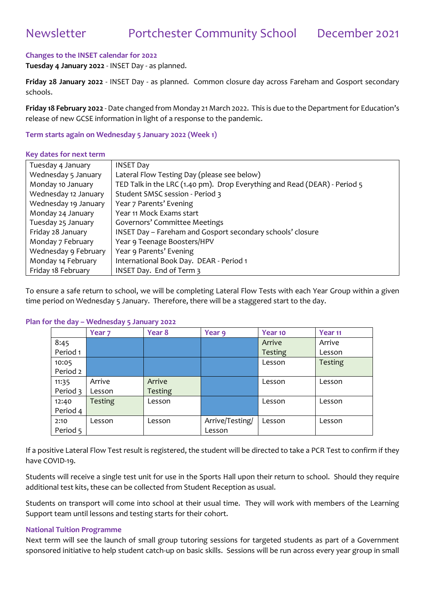## Newsletter Portchester Community School December 2021

### **Changes to the INSET calendar for 2022**

**Tuesday 4 January 2022** - INSET Day - as planned.

**Friday 28 January 2022** - INSET Day - as planned. Common closure day across Fareham and Gosport secondary schools.

**Friday 18 February 2022** - Date changed from Monday 21 March 2022. This is due to the Department for Education's release of new GCSE information in light of a response to the pandemic.

#### **Term starts again on Wednesday 5 January 2022 (Week 1)**

#### **Key dates for next term**

| Tuesday 4 January    | <b>INSET Day</b>                                                          |
|----------------------|---------------------------------------------------------------------------|
| Wednesday 5 January  | Lateral Flow Testing Day (please see below)                               |
| Monday 10 January    | TED Talk in the LRC (1.40 pm). Drop Everything and Read (DEAR) - Period 5 |
| Wednesday 12 January | Student SMSC session - Period 3                                           |
| Wednesday 19 January | Year 7 Parents' Evening                                                   |
| Monday 24 January    | Year 11 Mock Exams start                                                  |
| Tuesday 25 January   | Governors' Committee Meetings                                             |
| Friday 28 January    | INSET Day - Fareham and Gosport secondary schools' closure                |
| Monday 7 February    | Year 9 Teenage Boosters/HPV                                               |
| Wednesday 9 February | Year 9 Parents' Evening                                                   |
| Monday 14 February   | International Book Day. DEAR - Period 1                                   |
| Friday 18 February   | INSET Day. End of Term 3                                                  |

To ensure a safe return to school, we will be completing Lateral Flow Tests with each Year Group within a given time period on Wednesday 5 January. Therefore, there will be a staggered start to the day.

#### **Plan for the day – Wednesday 5 January 2022**

|                   | Year <sub>7</sub> | Year 8                   | Year 9                    | Year 10        | Year <sub>11</sub> |
|-------------------|-------------------|--------------------------|---------------------------|----------------|--------------------|
| 8:45              |                   |                          |                           | Arrive         | Arrive             |
| Period 1          |                   |                          |                           | <b>Testing</b> | Lesson             |
| 10:05<br>Period 2 |                   |                          |                           | Lesson         | <b>Testing</b>     |
| 11:35<br>Period 3 | Arrive<br>Lesson  | Arrive<br><b>Testing</b> |                           | Lesson         | Lesson             |
| 12:40<br>Period 4 | <b>Testing</b>    | Lesson                   |                           | Lesson         | Lesson             |
| 2:10<br>Period 5  | Lesson            | Lesson                   | Arrive/Testing/<br>Lesson | Lesson         | Lesson             |

If a positive Lateral Flow Test result is registered, the student will be directed to take a PCR Test to confirm if they have COVID-19.

Students will receive a single test unit for use in the Sports Hall upon their return to school. Should they require additional test kits, these can be collected from Student Reception as usual.

Students on transport will come into school at their usual time. They will work with members of the Learning Support team until lessons and testing starts for their cohort.

#### **National Tuition Programme**

Next term will see the launch of small group tutoring sessions for targeted students as part of a Government sponsored initiative to help student catch-up on basic skills. Sessions will be run across every year group in small